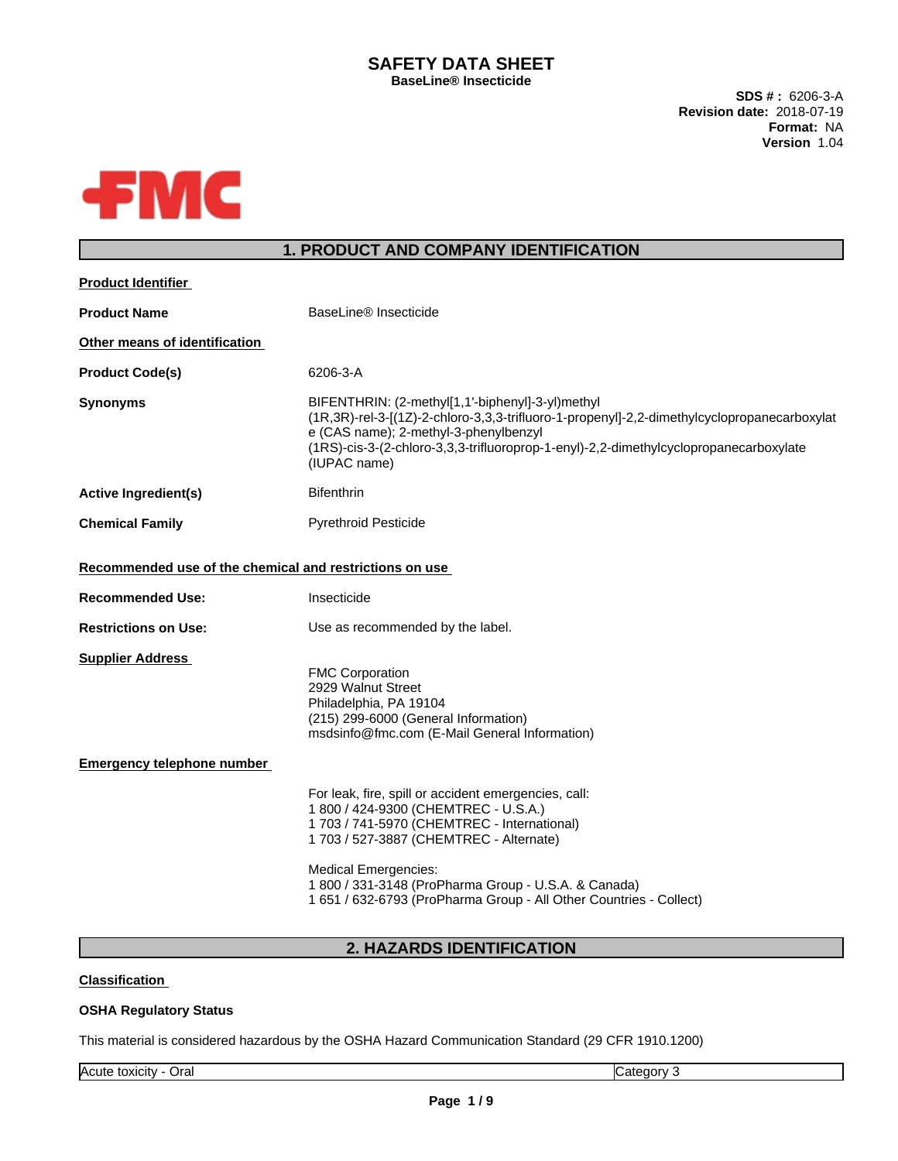# **SAFETY DATA SHEET BaseLine® Insecticide**

**SDS # :** 6206-3-A **Revision date:** 2018-07-19 **Format:** NA **Version** 1.04



# **1. PRODUCT AND COMPANY IDENTIFICATION**

| <b>Product Identifier</b>                               |                                                                                                                                                                                                                                                                                                                                              |  |
|---------------------------------------------------------|----------------------------------------------------------------------------------------------------------------------------------------------------------------------------------------------------------------------------------------------------------------------------------------------------------------------------------------------|--|
| BaseLine® Insecticide<br><b>Product Name</b>            |                                                                                                                                                                                                                                                                                                                                              |  |
| Other means of identification                           |                                                                                                                                                                                                                                                                                                                                              |  |
| <b>Product Code(s)</b>                                  | 6206-3-A                                                                                                                                                                                                                                                                                                                                     |  |
| <b>Synonyms</b>                                         | BIFENTHRIN: (2-methyl[1,1'-biphenyl]-3-yl)methyl<br>(1R,3R)-rel-3-[(1Z)-2-chloro-3,3,3-trifluoro-1-propenyl]-2,2-dimethylcyclopropanecarboxylat<br>e (CAS name); 2-methyl-3-phenylbenzyl<br>(1RS)-cis-3-(2-chloro-3,3,3-trifluoroprop-1-enyl)-2,2-dimethylcyclopropanecarboxylate<br>(IUPAC name)                                            |  |
| <b>Active Ingredient(s)</b>                             | <b>Bifenthrin</b>                                                                                                                                                                                                                                                                                                                            |  |
| <b>Chemical Family</b>                                  | <b>Pyrethroid Pesticide</b>                                                                                                                                                                                                                                                                                                                  |  |
| Recommended use of the chemical and restrictions on use |                                                                                                                                                                                                                                                                                                                                              |  |
| <b>Recommended Use:</b>                                 | Insecticide                                                                                                                                                                                                                                                                                                                                  |  |
| <b>Restrictions on Use:</b>                             | Use as recommended by the label.                                                                                                                                                                                                                                                                                                             |  |
| <b>Supplier Address</b>                                 | <b>FMC Corporation</b><br>2929 Walnut Street<br>Philadelphia, PA 19104<br>(215) 299-6000 (General Information)<br>msdsinfo@fmc.com (E-Mail General Information)                                                                                                                                                                              |  |
| <b>Emergency telephone number</b>                       |                                                                                                                                                                                                                                                                                                                                              |  |
|                                                         | For leak, fire, spill or accident emergencies, call:<br>1 800 / 424-9300 (CHEMTREC - U.S.A.)<br>1 703 / 741-5970 (CHEMTREC - International)<br>1 703 / 527-3887 (CHEMTREC - Alternate)<br>Medical Emergencies:<br>1 800 / 331-3148 (ProPharma Group - U.S.A. & Canada)<br>1 651 / 632-6793 (ProPharma Group - All Other Countries - Collect) |  |
|                                                         |                                                                                                                                                                                                                                                                                                                                              |  |

**2. HAZARDS IDENTIFICATION**

# **Classification**

## **OSHA Regulatory Status**

This material is considered hazardous by the OSHA Hazard Communication Standard (29 CFR 1910.1200)

Acute toxicity - Oral Category 3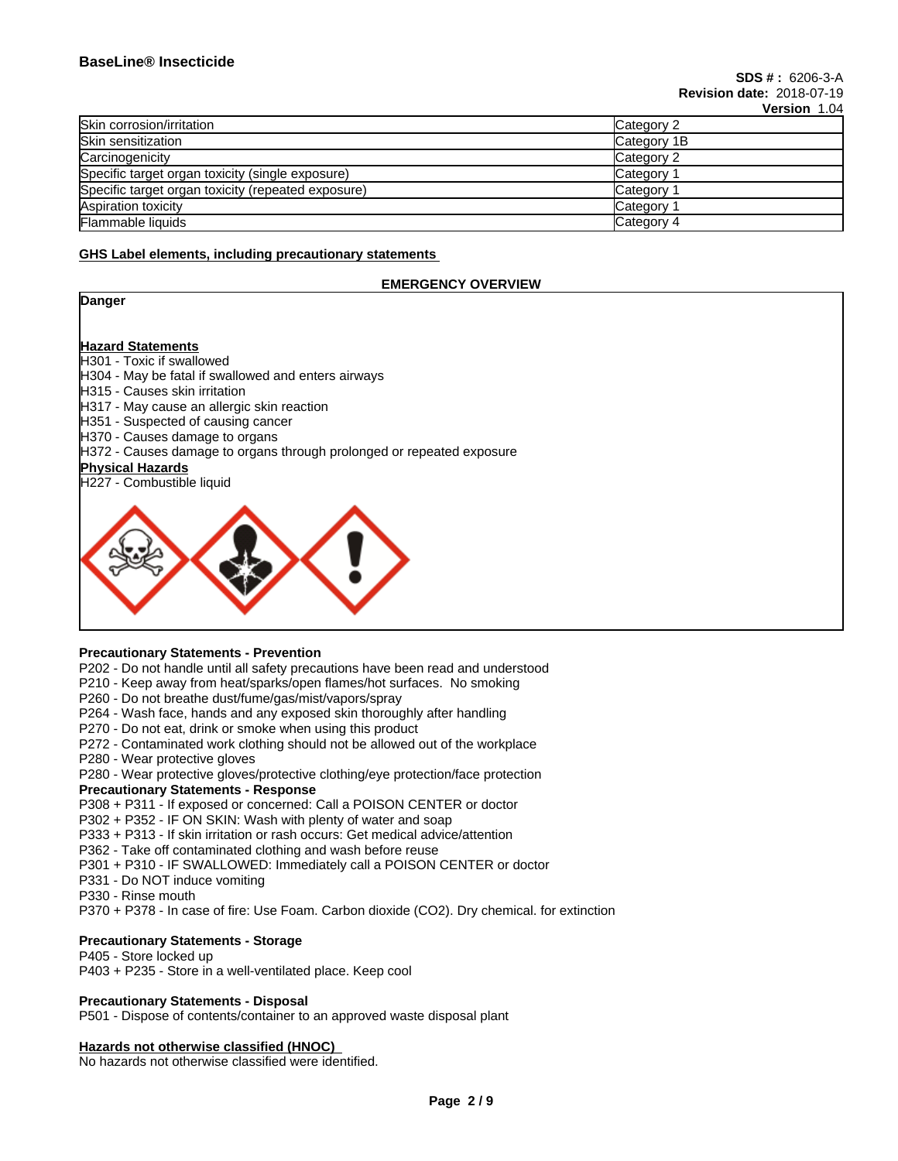| דטוו ווטוכוסי |
|---------------|
| Category 2    |
| Category 1B   |
| Category 2    |
| Category      |
| Category      |
| Category      |
| Category 4    |
|               |

### **GHS Label elements, including precautionary statements**

### **EMERGENCY OVERVIEW**

| Danger                                                                |
|-----------------------------------------------------------------------|
|                                                                       |
| <b>Hazard Statements</b>                                              |
| <b>H301 - Toxic if swallowed</b>                                      |
| H304 - May be fatal if swallowed and enters airways                   |
| H315 - Causes skin irritation                                         |
| H317 - May cause an allergic skin reaction                            |
| H351 - Suspected of causing cancer                                    |
| H370 - Causes damage to organs                                        |
| H372 - Causes damage to organs through prolonged or repeated exposure |
| <b>Physical Hazards</b>                                               |
| H227 - Combustible liquid                                             |
|                                                                       |

### **Precautionary Statements - Prevention**

P202 - Do not handle until all safety precautions have been read and understood

P210 - Keep away from heat/sparks/open flames/hot surfaces. No smoking

P260 - Do not breathe dust/fume/gas/mist/vapors/spray

- P264 Wash face, hands and any exposed skin thoroughly after handling
- P270 Do not eat, drink or smoke when using this product
- P272 Contaminated work clothing should not be allowed out of the workplace
- P280 Wear protective gloves

P280 - Wear protective gloves/protective clothing/eye protection/face protection

## **Precautionary Statements - Response**

P308 + P311 - If exposed or concerned: Call a POISON CENTER or doctor

P302 + P352 - IF ON SKIN: Wash with plenty of water and soap

P333 + P313 - If skin irritation or rash occurs: Get medical advice/attention

P362 - Take off contaminated clothing and wash before reuse

P301 + P310 - IF SWALLOWED: Immediately call a POISON CENTER or doctor

- P331 Do NOT induce vomiting
- P330 Rinse mouth

P370 + P378 - In case of fire: Use Foam. Carbon dioxide (CO2). Dry chemical. for extinction

# **Precautionary Statements - Storage**

P405 - Store locked up P403 + P235 - Store in a well-ventilated place. Keep cool

### **Precautionary Statements - Disposal**

P501 - Dispose of contents/container to an approved waste disposal plant

#### **Hazards not otherwise classified (HNOC)**

No hazards not otherwise classified were identified.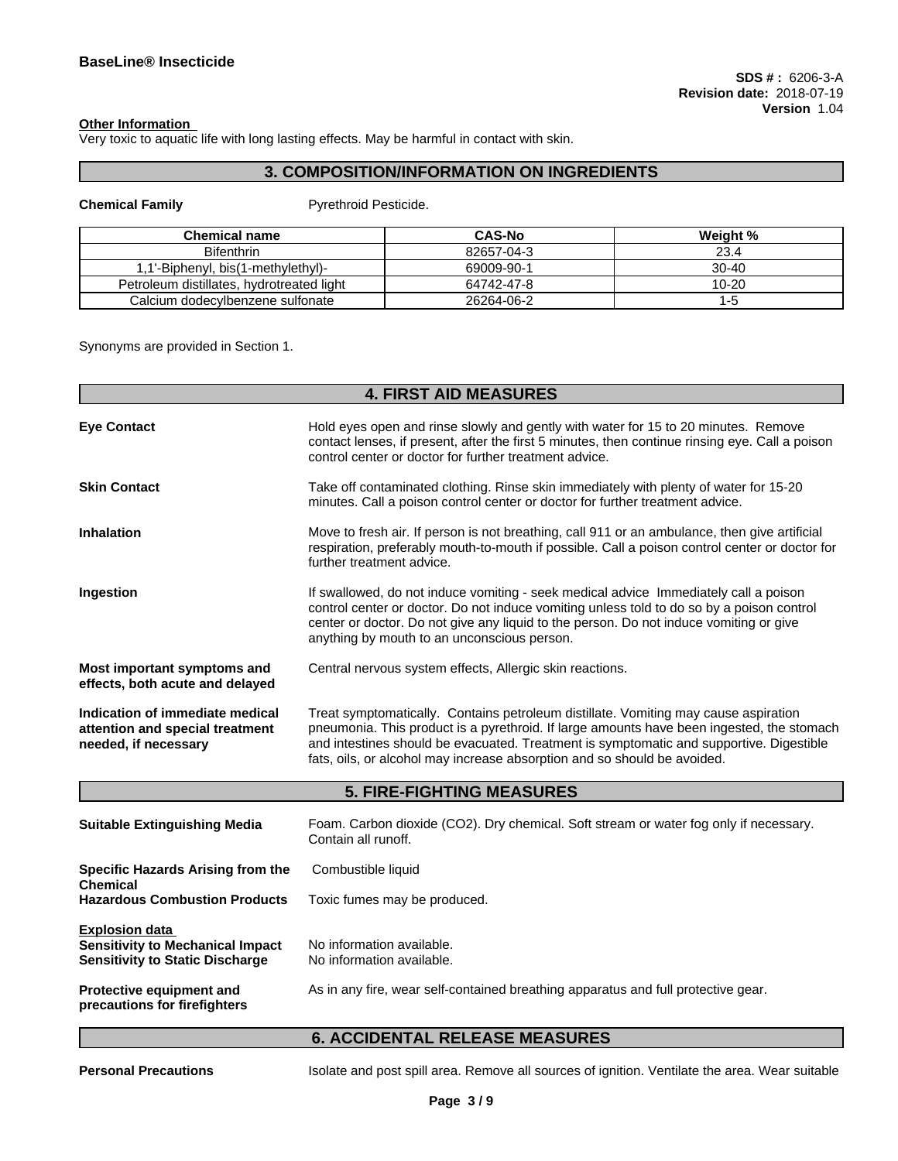#### **Other Information**

Very toxic to aquatic life with long lasting effects. May be harmful in contact with skin.

# **3. COMPOSITION/INFORMATION ON INGREDIENTS**

# **Chemical Family Pyrethroid Pesticide.**

| <b>Chemical name</b>                      | <b>CAS-No</b> | Weight %  |
|-------------------------------------------|---------------|-----------|
| <b>Bifenthrin</b>                         | 82657-04-3    | 23.4      |
| .1'-Biphenyl, bis(1-methylethyl)-         | 69009-90-1    | $30 - 40$ |
| Petroleum distillates, hydrotreated light | 64742-47-8    | $10 - 20$ |
| Calcium dodecylbenzene sulfonate          | 26264-06-2    | 1-ე       |

Synonyms are provided in Section 1.

| <b>4. FIRST AID MEASURES</b> |  |
|------------------------------|--|
|------------------------------|--|

| <b>Eye Contact</b>                                                                         | Hold eyes open and rinse slowly and gently with water for 15 to 20 minutes. Remove<br>contact lenses, if present, after the first 5 minutes, then continue rinsing eye. Call a poison<br>control center or doctor for further treatment advice.                                                                                                         |
|--------------------------------------------------------------------------------------------|---------------------------------------------------------------------------------------------------------------------------------------------------------------------------------------------------------------------------------------------------------------------------------------------------------------------------------------------------------|
| <b>Skin Contact</b>                                                                        | Take off contaminated clothing. Rinse skin immediately with plenty of water for 15-20<br>minutes. Call a poison control center or doctor for further treatment advice.                                                                                                                                                                                  |
| <b>Inhalation</b>                                                                          | Move to fresh air. If person is not breathing, call 911 or an ambulance, then give artificial<br>respiration, preferably mouth-to-mouth if possible. Call a poison control center or doctor for<br>further treatment advice.                                                                                                                            |
| Ingestion                                                                                  | If swallowed, do not induce vomiting - seek medical advice Immediately call a poison<br>control center or doctor. Do not induce vomiting unless told to do so by a poison control<br>center or doctor. Do not give any liquid to the person. Do not induce vomiting or give<br>anything by mouth to an unconscious person.                              |
| Most important symptoms and<br>effects, both acute and delayed                             | Central nervous system effects, Allergic skin reactions.                                                                                                                                                                                                                                                                                                |
| Indication of immediate medical<br>attention and special treatment<br>needed, if necessary | Treat symptomatically. Contains petroleum distillate. Vomiting may cause aspiration<br>pneumonia. This product is a pyrethroid. If large amounts have been ingested, the stomach<br>and intestines should be evacuated. Treatment is symptomatic and supportive. Digestible<br>fats, oils, or alcohol may increase absorption and so should be avoided. |

# **5. FIRE-FIGHTING MEASURES**

| <b>Suitable Extinguishing Media</b>                                                                        | Foam. Carbon dioxide (CO2). Dry chemical. Soft stream or water fog only if necessary.<br>Contain all runoff. |
|------------------------------------------------------------------------------------------------------------|--------------------------------------------------------------------------------------------------------------|
| Specific Hazards Arising from the<br><b>Chemical</b><br><b>Hazardous Combustion Products</b>               | Combustible liquid<br>Toxic fumes may be produced.                                                           |
| <b>Explosion data</b><br><b>Sensitivity to Mechanical Impact</b><br><b>Sensitivity to Static Discharge</b> | No information available.<br>No information available.                                                       |
| <b>Protective equipment and</b><br>precautions for firefighters                                            | As in any fire, wear self-contained breathing apparatus and full protective gear.                            |

# **6. ACCIDENTAL RELEASE MEASURES**

**Personal Precautions** Isolate and post spill area. Remove all sources of ignition. Ventilate the area. Wear suitable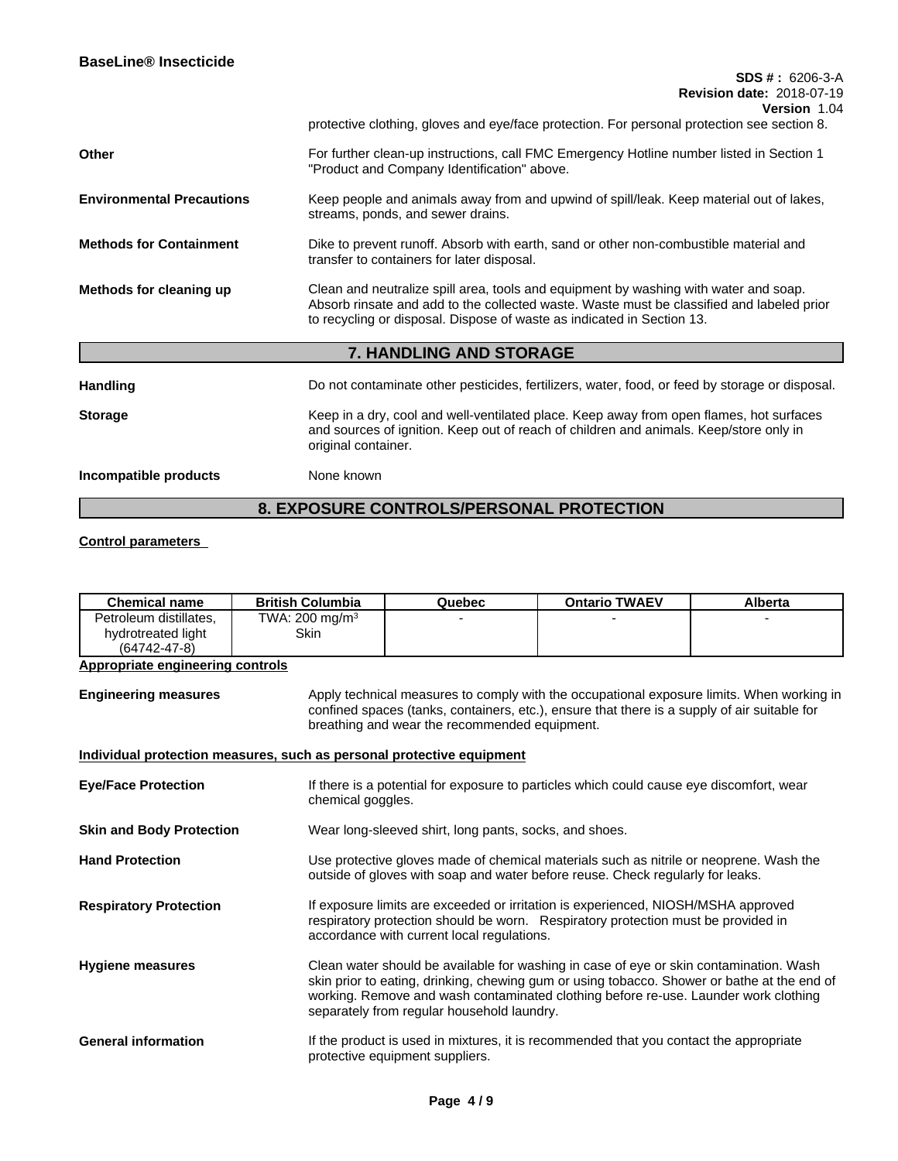|                                  | דשוויווטופוס<br>protective clothing, gloves and eye/face protection. For personal protection see section 8.                                                                                                                                                 |
|----------------------------------|-------------------------------------------------------------------------------------------------------------------------------------------------------------------------------------------------------------------------------------------------------------|
| Other                            | For further clean-up instructions, call FMC Emergency Hotline number listed in Section 1<br>"Product and Company Identification" above.                                                                                                                     |
| <b>Environmental Precautions</b> | Keep people and animals away from and upwind of spill/leak. Keep material out of lakes,<br>streams, ponds, and sewer drains.                                                                                                                                |
| <b>Methods for Containment</b>   | Dike to prevent runoff. Absorb with earth, sand or other non-combustible material and<br>transfer to containers for later disposal.                                                                                                                         |
| Methods for cleaning up          | Clean and neutralize spill area, tools and equipment by washing with water and soap.<br>Absorb rinsate and add to the collected waste. Waste must be classified and labeled prior<br>to recycling or disposal. Dispose of waste as indicated in Section 13. |
|                                  | 7. HANDLING AND STORAGE                                                                                                                                                                                                                                     |
| <b>Handling</b>                  | Do not contaminate other pesticides, fertilizers, water, food, or feed by storage or disposal.                                                                                                                                                              |
| <b>Storage</b>                   | Keep in a dry, cool and well-ventilated place. Keep away from open flames, hot surfaces<br>and sources of ignition. Keep out of reach of children and animals. Keep/store only in<br>original container.                                                    |
|                                  |                                                                                                                                                                                                                                                             |

**Incompatible products** None known

# **8. EXPOSURE CONTROLS/PERSONAL PROTECTION**

# **Control parameters**

| Petroleum distillates.<br>TWA: 200 mg/m $3$<br><b>Skin</b><br>hydrotreated light<br>(64742-47-8)<br><b>Appropriate engineering controls</b>                                                                                                                                                                                                           |
|-------------------------------------------------------------------------------------------------------------------------------------------------------------------------------------------------------------------------------------------------------------------------------------------------------------------------------------------------------|
|                                                                                                                                                                                                                                                                                                                                                       |
|                                                                                                                                                                                                                                                                                                                                                       |
|                                                                                                                                                                                                                                                                                                                                                       |
| Apply technical measures to comply with the occupational exposure limits. When working in<br><b>Engineering measures</b><br>confined spaces (tanks, containers, etc.), ensure that there is a supply of air suitable for<br>breathing and wear the recommended equipment.                                                                             |
| Individual protection measures, such as personal protective equipment                                                                                                                                                                                                                                                                                 |
| If there is a potential for exposure to particles which could cause eye discomfort, wear<br><b>Eye/Face Protection</b><br>chemical goggles.                                                                                                                                                                                                           |
| Wear long-sleeved shirt, long pants, socks, and shoes.<br><b>Skin and Body Protection</b>                                                                                                                                                                                                                                                             |
| Use protective gloves made of chemical materials such as nitrile or neoprene. Wash the<br><b>Hand Protection</b><br>outside of gloves with soap and water before reuse. Check regularly for leaks.                                                                                                                                                    |
| If exposure limits are exceeded or irritation is experienced, NIOSH/MSHA approved<br><b>Respiratory Protection</b><br>respiratory protection should be worn. Respiratory protection must be provided in<br>accordance with current local regulations.                                                                                                 |
| Clean water should be available for washing in case of eye or skin contamination. Wash<br><b>Hygiene measures</b><br>skin prior to eating, drinking, chewing gum or using tobacco. Shower or bathe at the end of<br>working. Remove and wash contaminated clothing before re-use. Launder work clothing<br>separately from regular household laundry. |
| <b>General information</b><br>If the product is used in mixtures, it is recommended that you contact the appropriate<br>protective equipment suppliers.                                                                                                                                                                                               |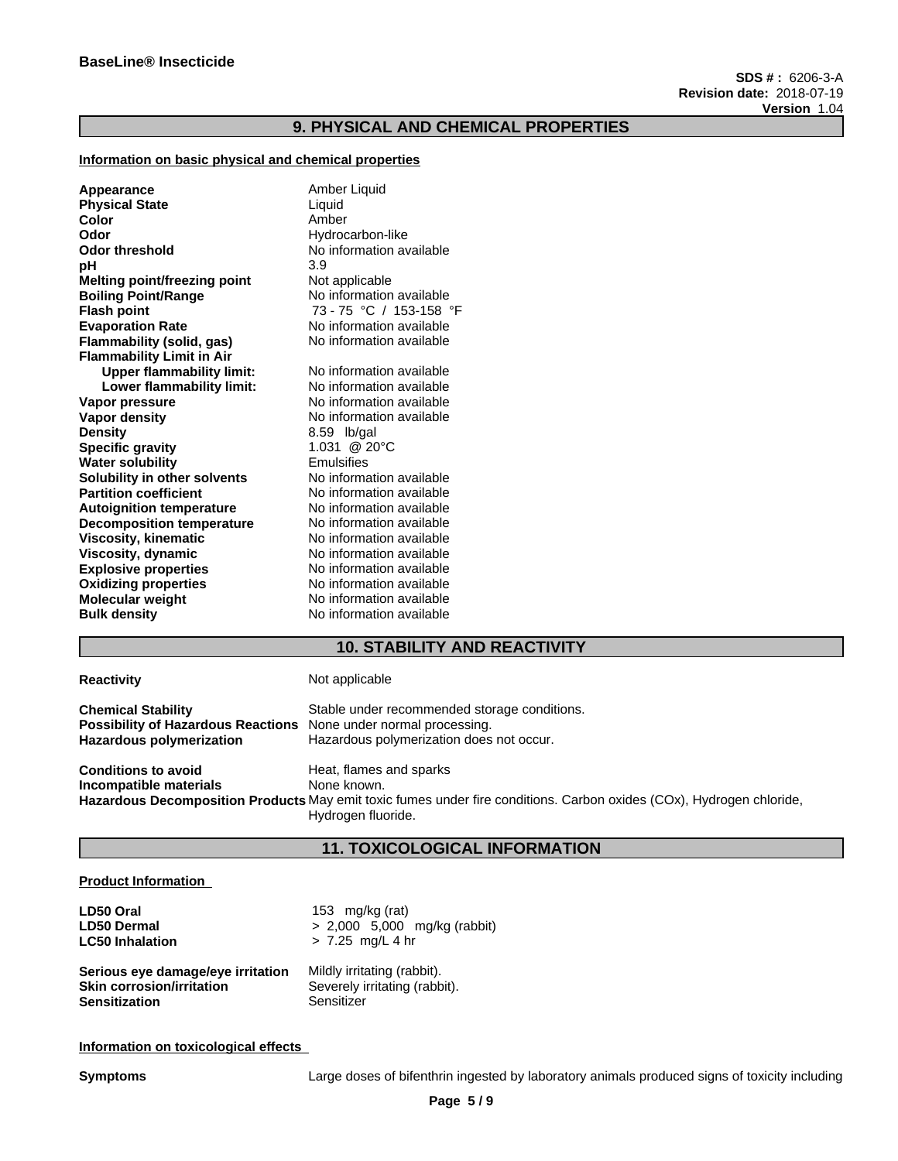# **9. PHYSICAL AND CHEMICAL PROPERTIES**

## **Information on basic physical and chemical properties**

| Appearance                       | Amber Liquid             |
|----------------------------------|--------------------------|
| <b>Physical State</b>            | Liquid                   |
| Color                            | Amber                    |
| Odor                             | Hydrocarbon-like         |
| Odor threshold                   | No information available |
| pН                               | 3.9                      |
| Melting point/freezing point     | Not applicable           |
| <b>Boiling Point/Range</b>       | No information available |
| Flash point                      | 73 - 75 °C / 153-158 °F  |
| <b>Evaporation Rate</b>          | No information available |
| Flammability (solid, gas)        | No information available |
| <b>Flammability Limit in Air</b> |                          |
| <b>Upper flammability limit:</b> | No information available |
| Lower flammability limit:        | No information available |
| Vapor pressure                   | No information available |
| Vapor density                    | No information available |
| Density                          | 8.59 lb/gal              |
| <b>Specific gravity</b>          | 1.031 @ 20°C             |
| Water solubility                 | Emulsifies               |
| Solubility in other solvents     | No information available |
| <b>Partition coefficient</b>     | No information available |
| Autoignition temperature         | No information available |
| <b>Decomposition temperature</b> | No information available |
| Viscosity, kinematic             | No information available |
| Viscosity, dynamic               | No information available |
| <b>Explosive properties</b>      | No information available |
| <b>Oxidizing properties</b>      | No information available |
| Molecular weight                 | No information available |
| <b>Bulk density</b>              | No information available |
|                                  |                          |

# **10. STABILITY AND REACTIVITY**

| <b>Reactivity</b>                                                                                                                       | Not applicable                                                                                                       |
|-----------------------------------------------------------------------------------------------------------------------------------------|----------------------------------------------------------------------------------------------------------------------|
| <b>Chemical Stability</b><br><b>Possibility of Hazardous Reactions</b> None under normal processing.<br><b>Hazardous polymerization</b> | Stable under recommended storage conditions.<br>Hazardous polymerization does not occur.                             |
| <b>Conditions to avoid</b><br>Incompatible materials                                                                                    | Heat, flames and sparks<br>None known.                                                                               |
|                                                                                                                                         | Hazardous Decomposition Products May emit toxic fumes under fire conditions. Carbon oxides (COx), Hydrogen chloride, |
|                                                                                                                                         | Hydrogen fluoride.                                                                                                   |

# **11. TOXICOLOGICAL INFORMATION**

### **Product Information**

| LD50 Oral                         | 153 mg/kg (rat)                |
|-----------------------------------|--------------------------------|
| <b>LD50 Dermal</b>                | $> 2,000$ 5,000 mg/kg (rabbit) |
| <b>LC50 Inhalation</b>            | $> 7.25$ mg/L 4 hr             |
| Serious eye damage/eye irritation | Mildly irritating (rabbit).    |
| <b>Skin corrosion/irritation</b>  | Severely irritating (rabbit).  |
| <b>Sensitization</b>              | Sensitizer                     |

**Information on toxicological effects**

**Symptoms** Large doses of bifenthrin ingested by laboratory animals produced signs of toxicity including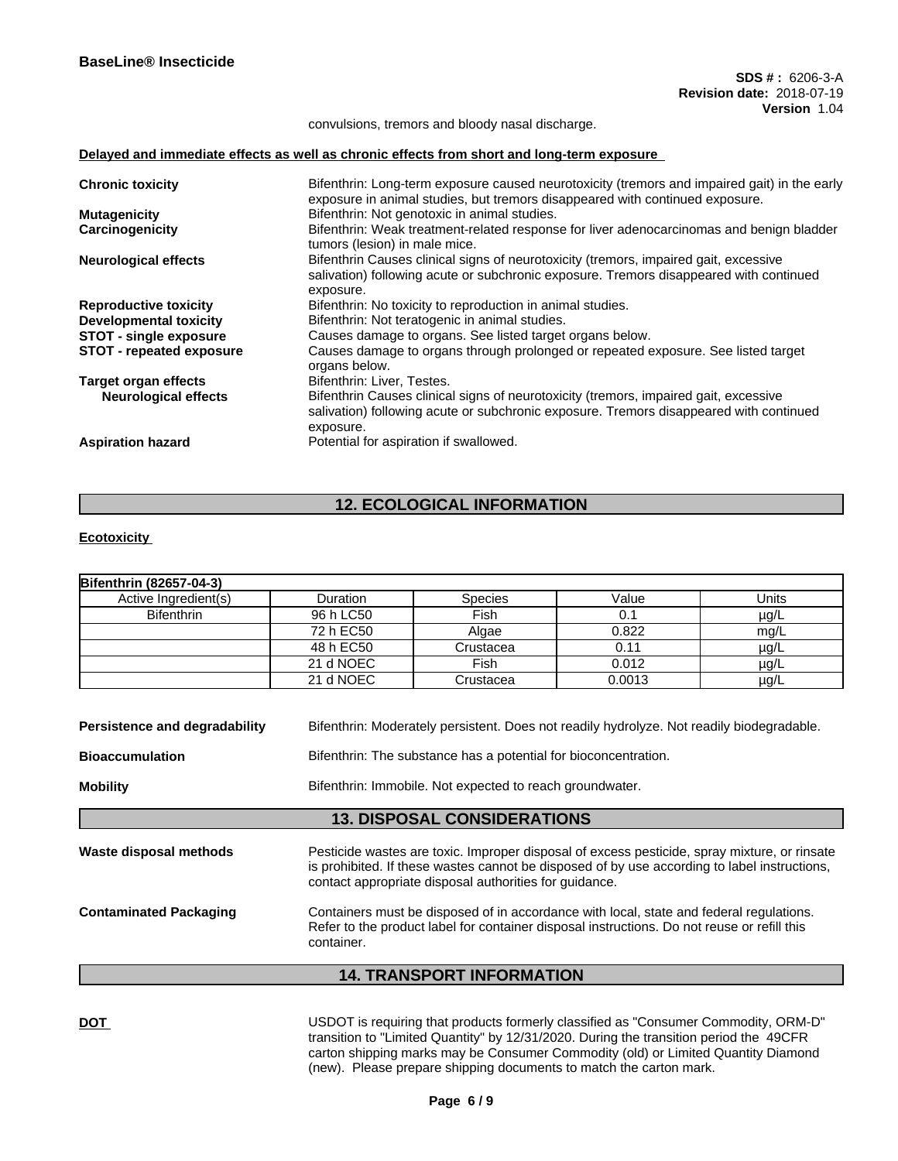convulsions, tremors and bloody nasal discharge.

### **Delayed and immediate effects as well as chronic effects from short and long-term exposure**

| <b>Chronic toxicity</b>         | Bifenthrin: Long-term exposure caused neurotoxicity (tremors and impaired gait) in the early<br>exposure in animal studies, but tremors disappeared with continued exposure.                |
|---------------------------------|---------------------------------------------------------------------------------------------------------------------------------------------------------------------------------------------|
| <b>Mutagenicity</b>             | Bifenthrin: Not genotoxic in animal studies.                                                                                                                                                |
| Carcinogenicity                 | Bifenthrin: Weak treatment-related response for liver adenocarcinomas and benign bladder<br>tumors (lesion) in male mice.                                                                   |
| <b>Neurological effects</b>     | Bifenthrin Causes clinical signs of neurotoxicity (tremors, impaired gait, excessive<br>salivation) following acute or subchronic exposure. Tremors disappeared with continued<br>exposure. |
| <b>Reproductive toxicity</b>    | Bifenthrin: No toxicity to reproduction in animal studies.                                                                                                                                  |
| Developmental toxicity          | Bifenthrin: Not teratogenic in animal studies.                                                                                                                                              |
| <b>STOT - single exposure</b>   | Causes damage to organs. See listed target organs below.                                                                                                                                    |
| <b>STOT - repeated exposure</b> | Causes damage to organs through prolonged or repeated exposure. See listed target<br>organs below.                                                                                          |
| <b>Target organ effects</b>     | Bifenthrin: Liver, Testes.                                                                                                                                                                  |
| <b>Neurological effects</b>     | Bifenthrin Causes clinical signs of neurotoxicity (tremors, impaired gait, excessive<br>salivation) following acute or subchronic exposure. Tremors disappeared with continued<br>exposure. |
| <b>Aspiration hazard</b>        | Potential for aspiration if swallowed.                                                                                                                                                      |
|                                 |                                                                                                                                                                                             |

# **12. ECOLOGICAL INFORMATION**

### **Ecotoxicity**

| Bifenthrin (82657-04-3)                   |                                                                                                                                                                                                                                                        |                                    |        |           |  |
|-------------------------------------------|--------------------------------------------------------------------------------------------------------------------------------------------------------------------------------------------------------------------------------------------------------|------------------------------------|--------|-----------|--|
| Active Ingredient(s)                      | <b>Duration</b>                                                                                                                                                                                                                                        | <b>Species</b>                     | Value  | Units     |  |
| <b>Bifenthrin</b>                         | 96 h LC50                                                                                                                                                                                                                                              | Fish                               | 0.1    | $\mu$ g/L |  |
|                                           | 72 h EC50                                                                                                                                                                                                                                              | Algae                              | 0.822  | mg/L      |  |
|                                           | 48 h EC50                                                                                                                                                                                                                                              | Crustacea                          | 0.11   | µg/L      |  |
|                                           | 21 d NOEC                                                                                                                                                                                                                                              | Fish                               | 0.012  | $\mu$ g/L |  |
|                                           | 21 d NOEC                                                                                                                                                                                                                                              | Crustacea                          | 0.0013 | $\mu$ g/L |  |
| <b>Bioaccumulation</b><br><b>Mobility</b> | Bifenthrin: The substance has a potential for bioconcentration.<br>Bifenthrin: Immobile. Not expected to reach groundwater.                                                                                                                            |                                    |        |           |  |
|                                           |                                                                                                                                                                                                                                                        | <b>13. DISPOSAL CONSIDERATIONS</b> |        |           |  |
| Waste disposal methods                    | Pesticide wastes are toxic. Improper disposal of excess pesticide, spray mixture, or rinsate<br>is prohibited. If these wastes cannot be disposed of by use according to label instructions,<br>contact appropriate disposal authorities for guidance. |                                    |        |           |  |
| <b>Contaminated Packaging</b>             | Containers must be disposed of in accordance with local, state and federal regulations.<br>Refer to the product label for container disposal instructions. Do not reuse or refill this<br>container.                                                   |                                    |        |           |  |
|                                           |                                                                                                                                                                                                                                                        | <b>14. TRANSPORT INFORMATION</b>   |        |           |  |

DOT **DOT USDOT** is requiring that products formerly classified as "Consumer Commodity, ORM-D" transition to "Limited Quantity" by 12/31/2020. During the transition period the 49CFR carton shipping marks may be Consumer Commodity (old) or Limited Quantity Diamond (new). Please prepare shipping documents to match the carton mark.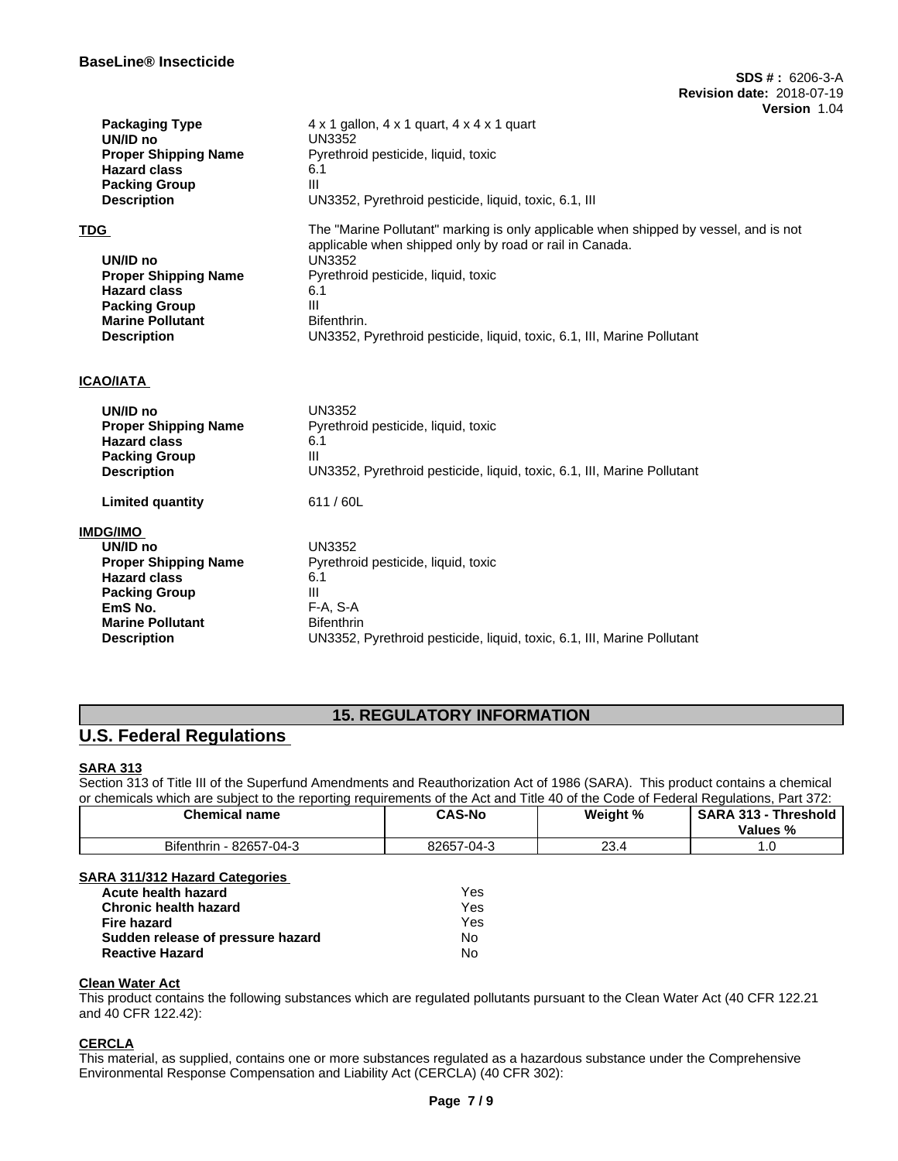| <b>Packaging Type</b>       | $4 \times 1$ gallon, $4 \times 1$ quart, $4 \times 4 \times 1$ quart                 |
|-----------------------------|--------------------------------------------------------------------------------------|
| UN/ID no                    | <b>UN3352</b>                                                                        |
| <b>Proper Shipping Name</b> | Pyrethroid pesticide, liquid, toxic                                                  |
| <b>Hazard class</b>         | 6.1                                                                                  |
| <b>Packing Group</b>        | Ш                                                                                    |
| <b>Description</b>          | UN3352, Pyrethroid pesticide, liquid, toxic, 6.1, III                                |
| TDG                         | The "Marine Pollutant" marking is only applicable when shipped by vessel, and is not |
|                             | applicable when shipped only by road or rail in Canada.                              |
| UN/ID no                    | <b>UN3352</b>                                                                        |
| <b>Proper Shipping Name</b> | Pyrethroid pesticide, liquid, toxic                                                  |
| <b>Hazard class</b>         | 6.1                                                                                  |
| <b>Packing Group</b>        | III                                                                                  |
| <b>Marine Pollutant</b>     | Bifenthrin.                                                                          |
| <b>Description</b>          | UN3352, Pyrethroid pesticide, liquid, toxic, 6.1, III, Marine Pollutant              |
|                             |                                                                                      |
| ICAO/IATA                   |                                                                                      |
| UN/ID no                    | <b>UN3352</b>                                                                        |
| <b>Proper Shipping Name</b> | Pyrethroid pesticide, liquid, toxic                                                  |
| <b>Hazard class</b>         | 6.1                                                                                  |
| <b>Packing Group</b>        | Ш                                                                                    |
| <b>Description</b>          | UN3352, Pyrethroid pesticide, liquid, toxic, 6.1, III, Marine Pollutant              |
| <b>Limited quantity</b>     | 611/60L                                                                              |
| IMDG/IMO                    |                                                                                      |
| UN/ID no                    | <b>UN3352</b>                                                                        |
| <b>Proper Shipping Name</b> | Pyrethroid pesticide, liquid, toxic                                                  |
| <b>Hazard class</b>         | 6.1                                                                                  |
| <b>Packing Group</b>        | Ш                                                                                    |
| EmS <sub>No.</sub>          | F-A, S-A                                                                             |
| <b>Marine Pollutant</b>     | <b>Bifenthrin</b>                                                                    |
| <b>Description</b>          | UN3352, Pyrethroid pesticide, liquid, toxic, 6.1, III, Marine Pollutant              |

# **15. REGULATORY INFORMATION**

# **U.S. Federal Regulations**

# **SARA 313**

Section 313 of Title III of the Superfund Amendments and Reauthorization Act of 1986 (SARA). This product contains a chemical or chemicals which are subject to the reporting requirements of the Act and Title 40 of the Code of Federal Regulations, Part 372:

| <b>Chemical name</b>           | <b>CAS-No</b> | Weight %   | <b>SARA 313</b><br><b>fhreshold</b><br>Values % |
|--------------------------------|---------------|------------|-------------------------------------------------|
| Bifenthrin - 82657-<br>-7-04-3 | 82657-04-3    | ົ<br>+…ت ∠ | .                                               |

# **SARA 311/312 Hazard Categories**

| Acute health hazard               | Yes |  |
|-----------------------------------|-----|--|
| Chronic health hazard             | Yes |  |
| Fire hazard                       | Yes |  |
| Sudden release of pressure hazard | No. |  |
| Reactive Hazard                   | N٥  |  |

## **Clean Water Act**

This product contains the following substances which are regulated pollutants pursuant to the Clean Water Act (40 CFR 122.21 and 40 CFR 122.42):

# **CERCLA**

This material, as supplied, contains one or more substances regulated as a hazardous substance under the Comprehensive Environmental Response Compensation and Liability Act (CERCLA) (40 CFR 302):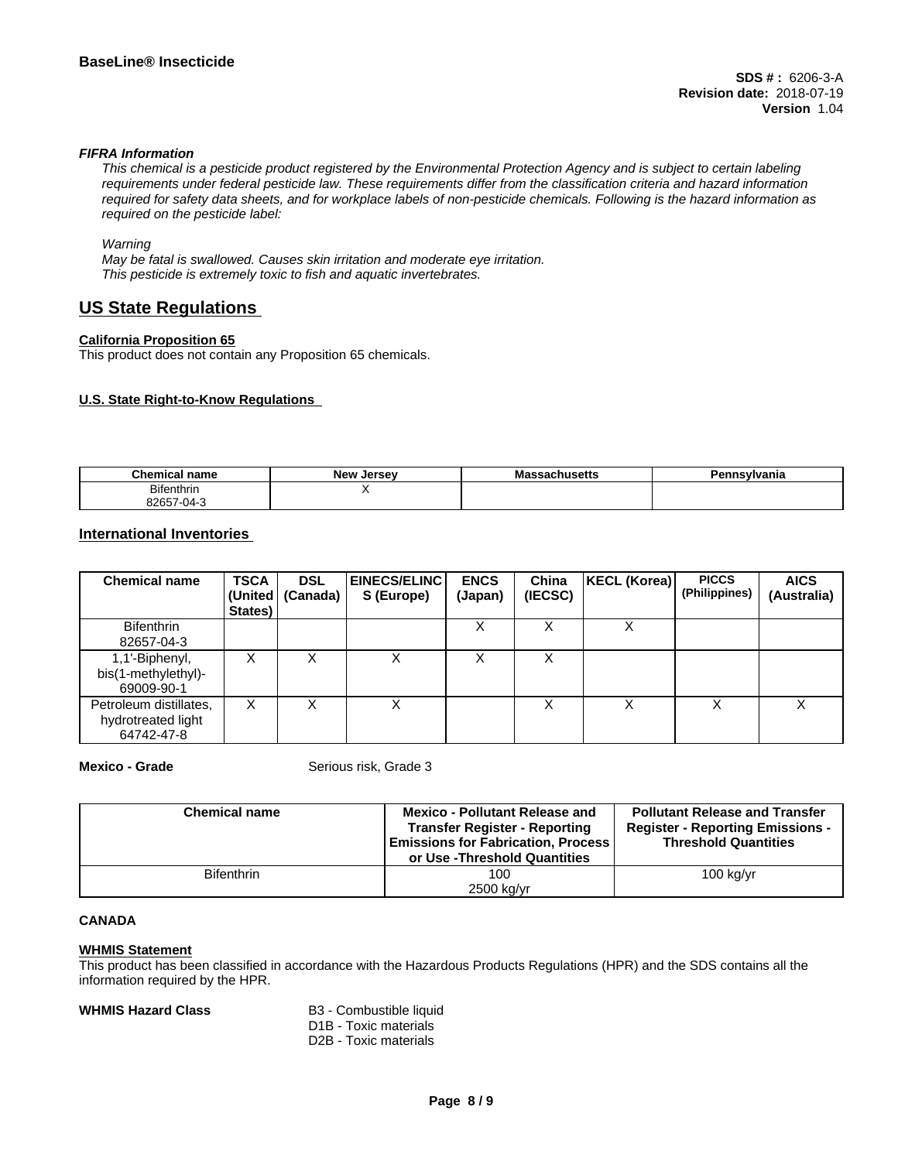### *FIFRA Information*

This chemical is a pesticide product registered by the Environmental Protection Agency and is subject to certain labeling requirements under federal pesticide law. These requirements differ from the classification criteria and hazard information required for safety data sheets, and for workplace labels of non-pesticide chemicals. Following is the hazard information as *required on the pesticide label:*

### *Warning*

*May be fatal is swallowed. Causes skin irritation and moderate eye irritation. This pesticide is extremely toxic to fish and aquatic invertebrates.*

# **US State Regulations**

### **California Proposition 65**

This product does not contain any Proposition 65 chemicals.

### **U.S. State Right-to-Know Regulations**

| <b>Chemical name</b>  | Alow.<br>Jersev<br>. | IVIC<br>อดบแนอចแอ | <br>∵∽∾lvania |
|-----------------------|----------------------|-------------------|---------------|
| <b>Bifenthrin</b>     |                      |                   |               |
| 82657<br>7-04-<br>۰., |                      |                   |               |

## **International Inventories**

| <b>Chemical name</b>                                       | <b>TSCA</b><br>States) | <b>DSL</b><br>(United   (Canada) | <b>EINECS/ELINC I</b><br>S (Europe) | <b>ENCS</b><br>(Japan) | China<br>(IECSC) | <b>KECL (Korea)</b> | <b>PICCS</b><br>(Philippines) | <b>AICS</b><br>(Australia) |
|------------------------------------------------------------|------------------------|----------------------------------|-------------------------------------|------------------------|------------------|---------------------|-------------------------------|----------------------------|
| <b>Bifenthrin</b><br>82657-04-3                            |                        |                                  |                                     | ∧                      |                  | ∧                   |                               |                            |
| 1,1'-Biphenyl,<br>bis(1-methylethyl)-<br>69009-90-1        | х                      |                                  | х                                   |                        |                  |                     |                               |                            |
| Petroleum distillates,<br>hydrotreated light<br>64742-47-8 | X                      |                                  | х                                   |                        |                  | Х                   |                               | v                          |

**Mexico - Grade** Serious risk, Grade 3

| <b>Chemical name</b> | <b>Mexico - Pollutant Release and</b><br><b>Transfer Register - Reporting</b><br><b>Emissions for Fabrication, Process</b><br>or Use -Threshold Quantities | <b>Pollutant Release and Transfer</b><br><b>Register - Reporting Emissions -</b><br><b>Threshold Quantities</b> |
|----------------------|------------------------------------------------------------------------------------------------------------------------------------------------------------|-----------------------------------------------------------------------------------------------------------------|
| <b>Bifenthrin</b>    | 100                                                                                                                                                        | $100$ kg/yr                                                                                                     |
|                      | 2500 kg/yr                                                                                                                                                 |                                                                                                                 |

### **CANADA**

### **WHMIS Statement**

This product has been classified in accordance with the Hazardous Products Regulations (HPR) and the SDS contains all the information required by the HPR.

### **WHMIS Hazard Class** B3 - Combustible liquid

- D1B Toxic materials
- D2B Toxic materials